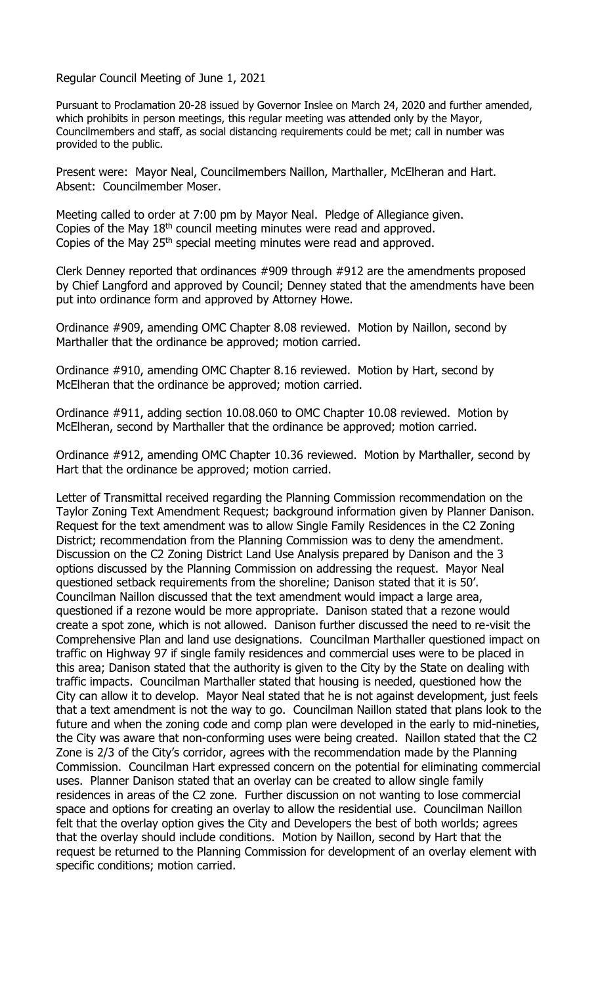Regular Council Meeting of June 1, 2021

Pursuant to Proclamation 20-28 issued by Governor Inslee on March 24, 2020 and further amended, which prohibits in person meetings, this regular meeting was attended only by the Mayor, Councilmembers and staff, as social distancing requirements could be met; call in number was provided to the public.

Present were: Mayor Neal, Councilmembers Naillon, Marthaller, McElheran and Hart. Absent: Councilmember Moser.

Meeting called to order at 7:00 pm by Mayor Neal. Pledge of Allegiance given. Copies of the May 18<sup>th</sup> council meeting minutes were read and approved. Copies of the May 25<sup>th</sup> special meeting minutes were read and approved.

Clerk Denney reported that ordinances #909 through #912 are the amendments proposed by Chief Langford and approved by Council; Denney stated that the amendments have been put into ordinance form and approved by Attorney Howe.

Ordinance #909, amending OMC Chapter 8.08 reviewed. Motion by Naillon, second by Marthaller that the ordinance be approved; motion carried.

Ordinance #910, amending OMC Chapter 8.16 reviewed. Motion by Hart, second by McElheran that the ordinance be approved; motion carried.

Ordinance #911, adding section 10.08.060 to OMC Chapter 10.08 reviewed. Motion by McElheran, second by Marthaller that the ordinance be approved; motion carried.

Ordinance #912, amending OMC Chapter 10.36 reviewed. Motion by Marthaller, second by Hart that the ordinance be approved; motion carried.

Letter of Transmittal received regarding the Planning Commission recommendation on the Taylor Zoning Text Amendment Request; background information given by Planner Danison. Request for the text amendment was to allow Single Family Residences in the C2 Zoning District; recommendation from the Planning Commission was to deny the amendment. Discussion on the C2 Zoning District Land Use Analysis prepared by Danison and the 3 options discussed by the Planning Commission on addressing the request. Mayor Neal questioned setback requirements from the shoreline; Danison stated that it is 50'. Councilman Naillon discussed that the text amendment would impact a large area, questioned if a rezone would be more appropriate. Danison stated that a rezone would create a spot zone, which is not allowed. Danison further discussed the need to re-visit the Comprehensive Plan and land use designations. Councilman Marthaller questioned impact on traffic on Highway 97 if single family residences and commercial uses were to be placed in this area; Danison stated that the authority is given to the City by the State on dealing with traffic impacts. Councilman Marthaller stated that housing is needed, questioned how the City can allow it to develop. Mayor Neal stated that he is not against development, just feels that a text amendment is not the way to go. Councilman Naillon stated that plans look to the future and when the zoning code and comp plan were developed in the early to mid-nineties, the City was aware that non-conforming uses were being created. Naillon stated that the C2 Zone is 2/3 of the City's corridor, agrees with the recommendation made by the Planning Commission. Councilman Hart expressed concern on the potential for eliminating commercial uses. Planner Danison stated that an overlay can be created to allow single family residences in areas of the C2 zone. Further discussion on not wanting to lose commercial space and options for creating an overlay to allow the residential use. Councilman Naillon felt that the overlay option gives the City and Developers the best of both worlds; agrees that the overlay should include conditions. Motion by Naillon, second by Hart that the request be returned to the Planning Commission for development of an overlay element with specific conditions; motion carried.